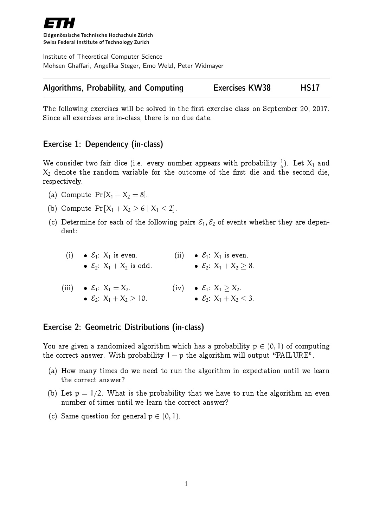

Eidgenössische Technische Hochschule Zürich Swiss Federal Institute of Technology Zurich

Institute of Theoretical Computer Science Mohsen Ghaffari, Angelika Steger, Emo Welzl, Peter Widmayer

|  |  | <b>Algorithms, Probability, and Computing</b> | <b>Exercises KW38</b> | <b>HS17</b> |
|--|--|-----------------------------------------------|-----------------------|-------------|
|--|--|-----------------------------------------------|-----------------------|-------------|

The following exercises will be solved in the first exercise class on September 20, 2017. Since all exercises are in-class, there is no due date.

# Exercise 1: Dependency (in-class)

We consider two fair dice (i.e. every number appears with probability  $\frac{1}{6}$ ). Let  $X_1$  and  $X_2$  denote the random variable for the outcome of the first die and the second die, respectively.

- (a) Compute Pr $[X_1 + X_2 = 8]$ .
- (b) Compute  $Pr[X_1 + X_2 \ge 6 | X_1 \le 2].$
- (c) Determine for each of the following pairs  $\mathcal{E}_1, \mathcal{E}_2$  of events whether they are dependent:

| (i) $\bullet$ $\mathcal{E}_1$ : $X_1$ is even. | (ii) $\bullet$ $\mathcal{E}_1$ : $X_1$ is even. |
|------------------------------------------------|-------------------------------------------------|
| • $\mathcal{E}_2$ : $X_1 + X_2$ is odd.        | • $\mathcal{E}_2$ : $X_1 + X_2 > 8$ .           |

(iii)  $\bullet \mathcal{E}_1$ :  $X_1 = X_2$ . •  $E_2$ :  $X_1 + X_2 \ge 10$ . (iv)  $\bullet$   $\mathcal{E}_1: X_1 \geq X_2$ .  $\bullet$   $\varepsilon_2$ :  $X_1 + X_2 < 3$ .

## Exercise 2: Geometric Distributions (in-class)

You are given a randomized algorithm which has a probability  $p \in (0, 1)$  of computing the correct answer. With probability  $1 - p$  the algorithm will output "FAILURE".

- (a) How many times do we need to run the algorithm in expectation until we learn the correct answer?
- (b) Let  $p = 1/2$ . What is the probability that we have to run the algorithm an even number of times until we learn the correct answer?
- (c) Same question for general  $p \in (0, 1)$ .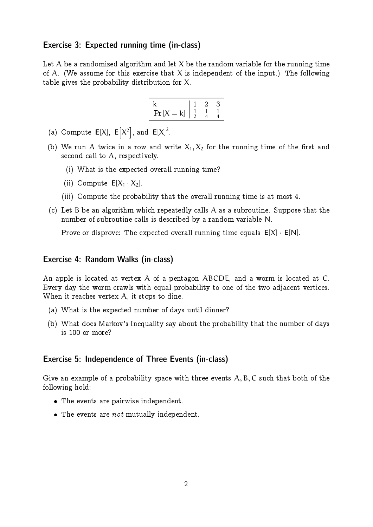### Exercise 3: Expected running time (in-class)

Let  $A$  be a randomized algorithm and let  $X$  be the random variable for the running time of A. (We assume for this exercise that X is independent of the input.) The following table gives the probability distribution for X.



- (a) Compute  $E[X]$ ,  $E[X^2]$ , and  $E[X]^2$ .
- (b) We run A twice in a row and write  $X_1, X_2$  for the running time of the first and second call to A, respectively.
	- (i) What is the expected overall running time?
	- (ii) Compute  $E[X_1 \t X_2]$ .
	- (iii) Compute the probability that the overall running time is at most 4.
- (c) Let B be an algorithm which repeatedly calls A as a subroutine. Suppose that the number of subroutine calls is described by a random variable N.

Prove or disprove: The expected overall running time equals  $E[X] \cdot E[N]$ .

#### Exercise 4: Random Walks (in-class)

An apple is located at vertex A of a pentagon ABCDE, and a worm is located at C. Every day the worm crawls with equal probability to one of the two adjacent vertices. When it reaches vertex A, it stops to dine.

- (a) What is the expected number of days until dinner?
- (b) What does Markov's Inequality say about the probability that the number of days is 100 or more?

#### Exercise 5: Independence of Three Events (in-class)

Give an example of a probability space with three events  $A, B, C$  such that both of the following hold:

- The events are pairwise independent.
- $\bullet$  The events are *not* mutually independent.